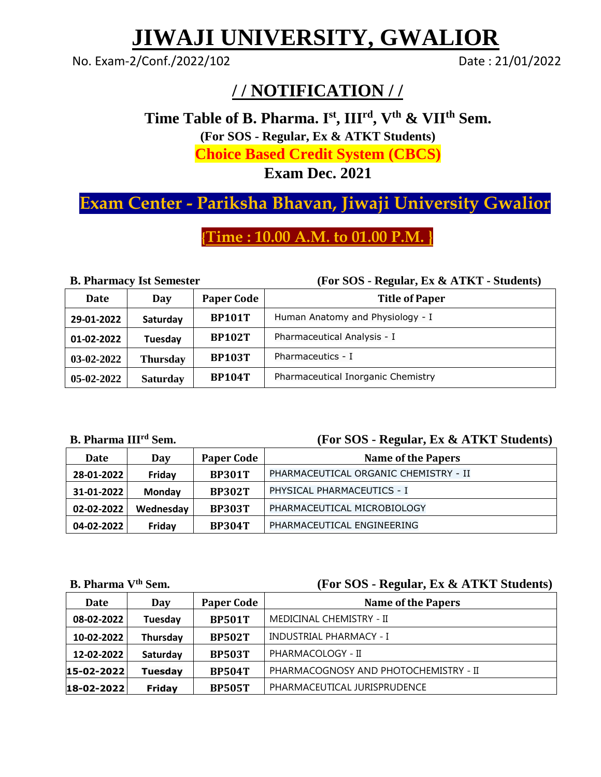# **JIWAJI UNIVERSITY, GWALIOR**

No. Exam-2/Conf./2022/102 Date: 21/01/2022

### **/ / NOTIFICATION / /**

**Time Table of B. Pharma. I st , IIIrd, Vth & VIIth Sem. (For SOS - Regular, Ex & ATKT Students) Choice Based Credit System (CBCS)**

**Exam Dec. 2021**

## **Exam Center - Pariksha Bhavan, Jiwaji University Gwalior**

**{Time : 10.00 A.M. to 01.00 P.M. }**

**B. Pharmacy Ist Semester (For SOS - Regular, Ex & ATKT - Students)**

| Date         | Day             | <b>Paper Code</b> | <b>Title of Paper</b>              |
|--------------|-----------------|-------------------|------------------------------------|
| 29-01-2022   | Saturday        | <b>BP101T</b>     | Human Anatomy and Physiology - I   |
| 01-02-2022   | Tuesday         | <b>BP102T</b>     | Pharmaceutical Analysis - I        |
| 03-02-2022   | Thursday        | <b>BP103T</b>     | Pharmaceutics - I                  |
| $05-02-2022$ | <b>Saturday</b> | <b>BP104T</b>     | Pharmaceutical Inorganic Chemistry |

**B. Pharma III**

#### **rd [Sem.](http://www.jiwaji.edu/admin/PDF/NoticeBoard2012/Revised%20Notification%20Regarding%20Form%20Filling%20Examination%20%20Date%20of%20M.B.A.%20(Full%20Time)(HA)(H.R.D.)(FA)(CSM)%20(Fine%20%26%20Pharma),%20M.B.A.%20%20(E-Commerce),%20(B.E.)(TA)2883.pdf) (For SOS - Regular, Ex & ATKT Students)**

| Date             | Day       | <b>Paper Code</b> | <b>Name of the Papers</b>             |
|------------------|-----------|-------------------|---------------------------------------|
| 28-01-2022       | Friday    | <b>BP301T</b>     | PHARMACEUTICAL ORGANIC CHEMISTRY - II |
| 31-01-2022       | Monday    | <b>BP302T</b>     | PHYSICAL PHARMACEUTICS - I            |
| $02 - 02 - 2022$ | Wednesday | <b>BP303T</b>     | PHARMACEUTICAL MICROBIOLOGY           |
| 04-02-2022       | Friday    | <b>BP304T</b>     | PHARMACEUTICAL ENGINEERING            |

#### **B. Pharma Vth [Sem.](http://www.jiwaji.edu/admin/PDF/NoticeBoard2012/Revised%20Notification%20Regarding%20Form%20Filling%20Examination%20%20Date%20of%20M.B.A.%20(Full%20Time)(HA)(H.R.D.)(FA)(CSM)%20(Fine%20%26%20Pharma),%20M.B.A.%20%20(E-Commerce),%20(B.E.)(TA)2883.pdf) (For SOS - Regular, Ex & ATKT Students)**

| Date               | Day            | <b>Paper Code</b> | <b>Name of the Papers</b>             |
|--------------------|----------------|-------------------|---------------------------------------|
| 08-02-2022         | Tuesday        | <b>BP501T</b>     | MEDICINAL CHEMISTRY - II              |
| 10-02-2022         | Thursday       | <b>BP502T</b>     | INDUSTRIAL PHARMACY - I               |
| 12-02-2022         | Saturday       | <b>BP503T</b>     | PHARMACOLOGY - II                     |
| $ 15 - 02 - 2022 $ | <b>Tuesday</b> | <b>BP504T</b>     | PHARMACOGNOSY AND PHOTOCHEMISTRY - II |
| 18-02-2022         | Friday         | <b>BP505T</b>     | PHARMACEUTICAL JURISPRUDENCE          |